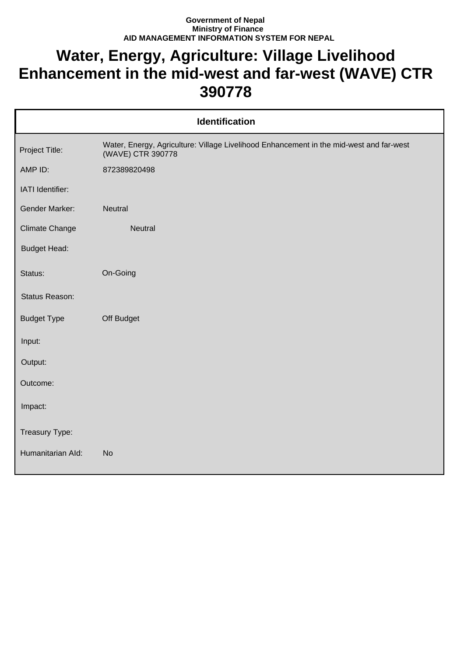## **Government of Nepal Ministry of Finance AID MANAGEMENT INFORMATION SYSTEM FOR NEPAL**

## **Water, Energy, Agriculture: Village Livelihood Enhancement in the mid-west and far-west (WAVE) CTR 390778**

| <b>Identification</b> |                                                                                                              |  |
|-----------------------|--------------------------------------------------------------------------------------------------------------|--|
| Project Title:        | Water, Energy, Agriculture: Village Livelihood Enhancement in the mid-west and far-west<br>(WAVE) CTR 390778 |  |
| AMP ID:               | 872389820498                                                                                                 |  |
| IATI Identifier:      |                                                                                                              |  |
| <b>Gender Marker:</b> | <b>Neutral</b>                                                                                               |  |
| <b>Climate Change</b> | Neutral                                                                                                      |  |
| <b>Budget Head:</b>   |                                                                                                              |  |
| Status:               | On-Going                                                                                                     |  |
| Status Reason:        |                                                                                                              |  |
| <b>Budget Type</b>    | Off Budget                                                                                                   |  |
| Input:                |                                                                                                              |  |
| Output:               |                                                                                                              |  |
| Outcome:              |                                                                                                              |  |
| Impact:               |                                                                                                              |  |
| Treasury Type:        |                                                                                                              |  |
| Humanitarian Ald:     | <b>No</b>                                                                                                    |  |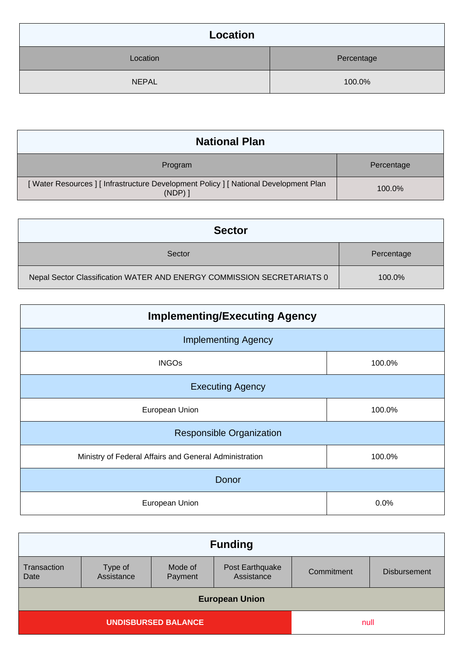| Location     |            |
|--------------|------------|
| Location     | Percentage |
| <b>NEPAL</b> | 100.0%     |

| <b>National Plan</b>                                                                          |            |  |
|-----------------------------------------------------------------------------------------------|------------|--|
| Program                                                                                       | Percentage |  |
| [Water Resources] [Infrastructure Development Policy] [National Development Plan<br>$(NDP)$ ] | 100.0%     |  |

| <b>Sector</b>                                                          |            |
|------------------------------------------------------------------------|------------|
| Sector                                                                 | Percentage |
| Nepal Sector Classification WATER AND ENERGY COMMISSION SECRETARIATS 0 | 100.0%     |

| <b>Implementing/Executing Agency</b>                   |        |  |
|--------------------------------------------------------|--------|--|
| <b>Implementing Agency</b>                             |        |  |
| <b>INGOs</b>                                           | 100.0% |  |
| <b>Executing Agency</b>                                |        |  |
| European Union                                         | 100.0% |  |
| <b>Responsible Organization</b>                        |        |  |
| Ministry of Federal Affairs and General Administration | 100.0% |  |
| Donor                                                  |        |  |
| European Union                                         | 0.0%   |  |

| <b>Funding</b>             |                       |                    |                               |            |                     |
|----------------------------|-----------------------|--------------------|-------------------------------|------------|---------------------|
|                            |                       |                    |                               |            |                     |
| Transaction<br>Date        | Type of<br>Assistance | Mode of<br>Payment | Post Earthquake<br>Assistance | Commitment | <b>Disbursement</b> |
| <b>European Union</b>      |                       |                    |                               |            |                     |
| <b>UNDISBURSED BALANCE</b> |                       |                    | null                          |            |                     |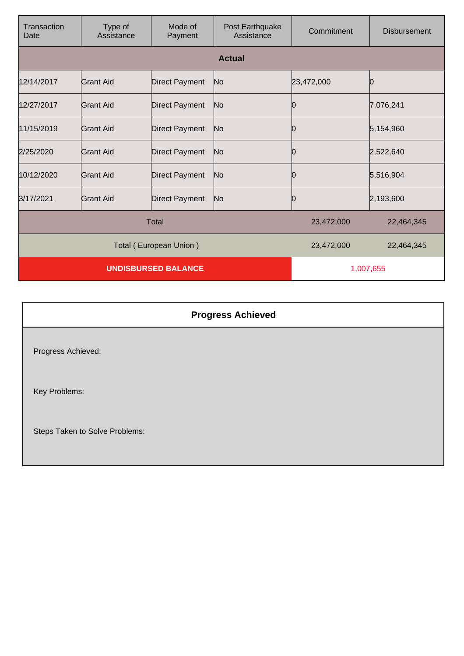| Transaction<br>Date        | Type of<br>Assistance | Mode of<br>Payment     | Post Earthquake<br>Assistance | Commitment | <b>Disbursement</b> |
|----------------------------|-----------------------|------------------------|-------------------------------|------------|---------------------|
|                            |                       |                        | <b>Actual</b>                 |            |                     |
| 12/14/2017                 | <b>Grant Aid</b>      | <b>Direct Payment</b>  | No                            | 23,472,000 | O                   |
| 12/27/2017                 | Grant Aid             | <b>Direct Payment</b>  | No                            | O          | 7,076,241           |
| 11/15/2019                 | Grant Aid             | <b>Direct Payment</b>  | No                            | 0          | 5,154,960           |
| 2/25/2020                  | Grant Aid             | <b>Direct Payment</b>  | No                            | Ю          | 2,522,640           |
| 10/12/2020                 | Grant Aid             | <b>Direct Payment</b>  | No                            | 0          | 5,516,904           |
| 3/17/2021                  | Grant Aid             | <b>Direct Payment</b>  | No                            | 0          | 2,193,600           |
| <b>Total</b>               |                       |                        | 23,472,000                    | 22,464,345 |                     |
|                            |                       | Total (European Union) |                               | 23,472,000 | 22,464,345          |
| <b>UNDISBURSED BALANCE</b> |                       |                        | 1,007,655                     |            |                     |

| <b>Progress Achieved</b>       |  |
|--------------------------------|--|
| Progress Achieved:             |  |
| Key Problems:                  |  |
| Steps Taken to Solve Problems: |  |